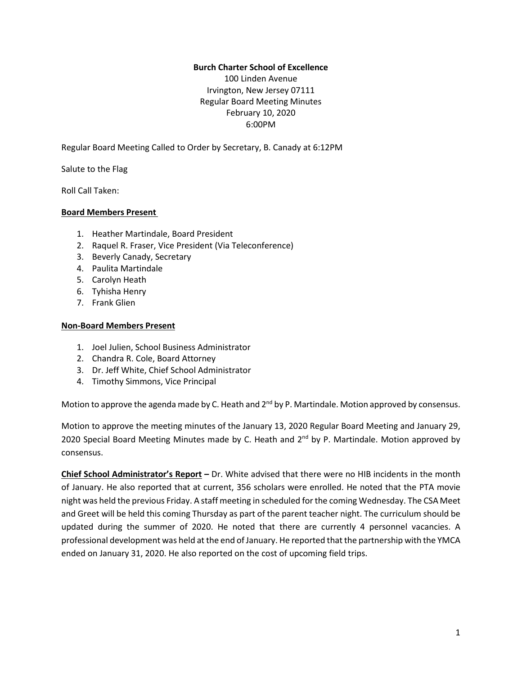### **Burch Charter School of Excellence**

100 Linden Avenue Irvington, New Jersey 07111 Regular Board Meeting Minutes February 10, 2020 6:00PM

Regular Board Meeting Called to Order by Secretary, B. Canady at 6:12PM

Salute to the Flag

Roll Call Taken:

## **Board Members Present**

- 1. Heather Martindale, Board President
- 2. Raquel R. Fraser, Vice President (Via Teleconference)
- 3. Beverly Canady, Secretary
- 4. Paulita Martindale
- 5. Carolyn Heath
- 6. Tyhisha Henry
- 7. Frank Glien

### **Non-Board Members Present**

- 1. Joel Julien, School Business Administrator
- 2. Chandra R. Cole, Board Attorney
- 3. Dr. Jeff White, Chief School Administrator
- 4. Timothy Simmons, Vice Principal

Motion to approve the agenda made by C. Heath and 2<sup>nd</sup> by P. Martindale. Motion approved by consensus.

Motion to approve the meeting minutes of the January 13, 2020 Regular Board Meeting and January 29, 2020 Special Board Meeting Minutes made by C. Heath and 2<sup>nd</sup> by P. Martindale. Motion approved by consensus.

**Chief School Administrator's Report –** Dr. White advised that there were no HIB incidents in the month of January. He also reported that at current, 356 scholars were enrolled. He noted that the PTA movie night was held the previous Friday. A staff meeting in scheduled forthe coming Wednesday. The CSA Meet and Greet will be held this coming Thursday as part of the parent teacher night. The curriculum should be updated during the summer of 2020. He noted that there are currently 4 personnel vacancies. A professional development was held at the end of January. He reported thatthe partnership with the YMCA ended on January 31, 2020. He also reported on the cost of upcoming field trips.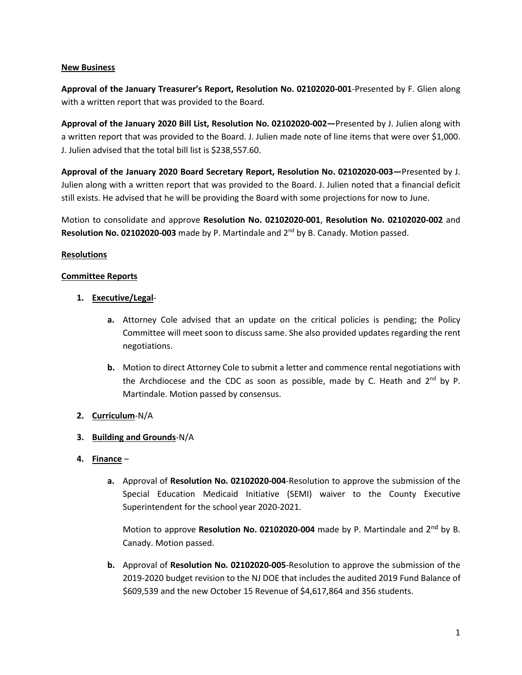### **New Business**

**Approval of the January Treasurer's Report, Resolution No. 02102020-001**-Presented by F. Glien along with a written report that was provided to the Board.

**Approval of the January 2020 Bill List, Resolution No. 02102020-002—**Presented by J. Julien along with a written report that was provided to the Board. J. Julien made note of line items that were over \$1,000. J. Julien advised that the total bill list is \$238,557.60.

**Approval of the January 2020 Board Secretary Report, Resolution No. 02102020-003—**Presented by J. Julien along with a written report that was provided to the Board. J. Julien noted that a financial deficit still exists. He advised that he will be providing the Board with some projections for now to June.

Motion to consolidate and approve **Resolution No. 02102020-001**, **Resolution No. 02102020-002** and **Resolution No. 02102020-003** made by P. Martindale and 2 nd by B. Canady. Motion passed.

## **Resolutions**

## **Committee Reports**

- **1. Executive/Legal**
	- **a.** Attorney Cole advised that an update on the critical policies is pending; the Policy Committee will meet soon to discuss same. She also provided updates regarding the rent negotiations.
	- **b.** Motion to direct Attorney Cole to submit a letter and commence rental negotiations with the Archdiocese and the CDC as soon as possible, made by C. Heath and 2<sup>nd</sup> by P. Martindale. Motion passed by consensus.

# **2. Curriculum**-N/A

# **3. Building and Grounds**-N/A

- **4. Finance**
	- **a.** Approval of **Resolution No. 02102020-004**-Resolution to approve the submission of the Special Education Medicaid Initiative (SEMI) waiver to the County Executive Superintendent for the school year 2020-2021.

Motion to approve Resolution No. 02102020-004 made by P. Martindale and 2<sup>nd</sup> by B. Canady. Motion passed.

**b.** Approval of **Resolution No. 02102020-005**-Resolution to approve the submission of the 2019-2020 budget revision to the NJ DOE that includes the audited 2019 Fund Balance of \$609,539 and the new October 15 Revenue of \$4,617,864 and 356 students.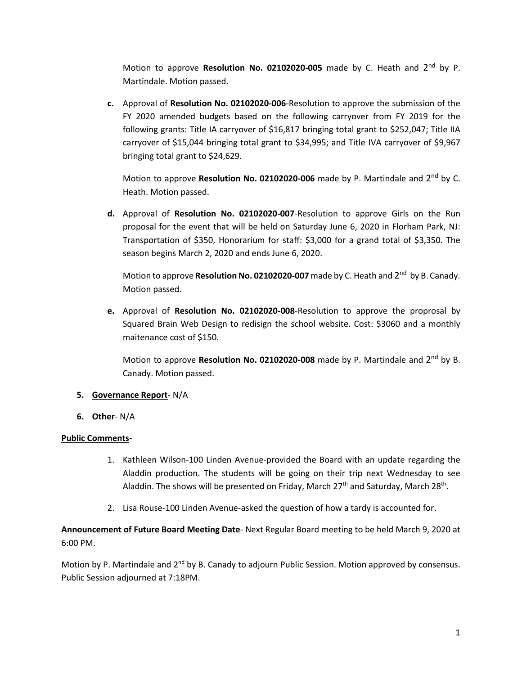Motion to approve Resolution No. 02102020-005 made by C. Heath and 2<sup>nd</sup> by P. Martindale. Motion passed.

**c.** Approval of **Resolution No. 02102020-006**-Resolution to approve the submission of the FY 2020 amended budgets based on the following carryover from FY 2019 for the following grants: Title IA carryover of \$16,817 bringing total grant to \$252,047; Title IIA carryover of \$15,044 bringing total grant to \$34,995; and Title IVA carryover of \$9,967 bringing total grant to \$24,629.

Motion to approve Resolution No. 02102020-006 made by P. Martindale and 2<sup>nd</sup> by C. Heath. Motion passed.

**d.** Approval of **Resolution No. 02102020-007**-Resolution to approve Girls on the Run proposal for the event that will be held on Saturday June 6, 2020 in Florham Park, NJ: Transportation of \$350, Honorarium for staff: \$3,000 for a grand total of \$3,350. The season begins March 2, 2020 and ends June 6, 2020.

Motion to approve **Resolution No. 02102020-007** made by C. Heath and 2<sup>nd</sup> by B. Canady. Motion passed.

**e.** Approval of **Resolution No. 02102020-008**-Resolution to approve the proprosal by Squared Brain Web Design to redisign the school website. Cost: \$3060 and a monthly maitenance cost of \$150.

Motion to approve Resolution No. 02102020-008 made by P. Martindale and 2<sup>nd</sup> by B. Canady. Motion passed.

### **5. Governance Report**- N/A

**6. Other**- N/A

# **Public Comments-**

- 1. Kathleen Wilson-100 Linden Avenue-provided the Board with an update regarding the Aladdin production. The students will be going on their trip next Wednesday to see Aladdin. The shows will be presented on Friday, March 27<sup>th</sup> and Saturday, March 28<sup>th</sup>.
- 2. Lisa Rouse-100 Linden Avenue-asked the question of how a tardy is accounted for.

**Announcement of Future Board Meeting Date**- Next Regular Board meeting to be held March 9, 2020 at 6:00 PM.

Motion by P. Martindale and 2<sup>nd</sup> by B. Canady to adjourn Public Session. Motion approved by consensus. Public Session adjourned at 7:18PM.